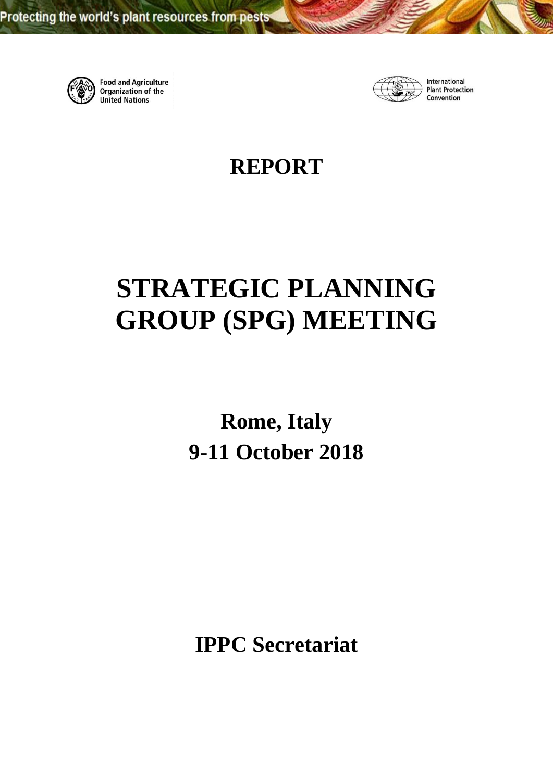

**Food and Agriculture Organization of the United Nations** 



International **Plant Protection** Convention

**REPORT**

# **STRATEGIC PLANNING GROUP (SPG) MEETING**

**Rome, Italy 9-11 October 2018**

**IPPC Secretariat**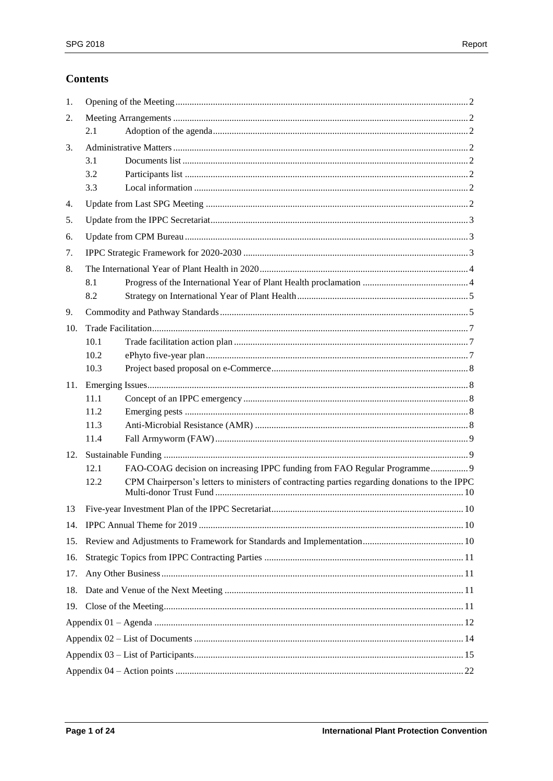# **Contents**

| 1.  |      |                                                                                                                                                                            |  |  |  |
|-----|------|----------------------------------------------------------------------------------------------------------------------------------------------------------------------------|--|--|--|
| 2.  |      |                                                                                                                                                                            |  |  |  |
|     | 2.1  |                                                                                                                                                                            |  |  |  |
| 3.  |      |                                                                                                                                                                            |  |  |  |
|     | 3.1  |                                                                                                                                                                            |  |  |  |
|     | 3.2  |                                                                                                                                                                            |  |  |  |
|     | 3.3  |                                                                                                                                                                            |  |  |  |
| 4.  |      |                                                                                                                                                                            |  |  |  |
| 5.  |      |                                                                                                                                                                            |  |  |  |
| 6.  |      |                                                                                                                                                                            |  |  |  |
| 7.  |      |                                                                                                                                                                            |  |  |  |
| 8.  |      |                                                                                                                                                                            |  |  |  |
|     | 8.1  |                                                                                                                                                                            |  |  |  |
|     | 8.2  |                                                                                                                                                                            |  |  |  |
| 9.  |      |                                                                                                                                                                            |  |  |  |
| 10. |      |                                                                                                                                                                            |  |  |  |
|     | 10.1 |                                                                                                                                                                            |  |  |  |
|     | 10.2 |                                                                                                                                                                            |  |  |  |
|     | 10.3 |                                                                                                                                                                            |  |  |  |
| 11. |      |                                                                                                                                                                            |  |  |  |
|     | 11.1 |                                                                                                                                                                            |  |  |  |
|     | 11.2 |                                                                                                                                                                            |  |  |  |
|     | 11.3 |                                                                                                                                                                            |  |  |  |
|     | 11.4 |                                                                                                                                                                            |  |  |  |
| 12. | 12.1 |                                                                                                                                                                            |  |  |  |
|     | 12.2 | FAO-COAG decision on increasing IPPC funding from FAO Regular Programme 9<br>CPM Chairperson's letters to ministers of contracting parties regarding donations to the IPPC |  |  |  |
|     |      |                                                                                                                                                                            |  |  |  |
| 13  |      |                                                                                                                                                                            |  |  |  |
|     |      |                                                                                                                                                                            |  |  |  |
| 15. |      |                                                                                                                                                                            |  |  |  |
| 16. |      |                                                                                                                                                                            |  |  |  |
| 17. |      |                                                                                                                                                                            |  |  |  |
| 18. |      |                                                                                                                                                                            |  |  |  |
|     |      |                                                                                                                                                                            |  |  |  |
|     |      |                                                                                                                                                                            |  |  |  |
|     |      |                                                                                                                                                                            |  |  |  |
|     |      |                                                                                                                                                                            |  |  |  |
|     |      |                                                                                                                                                                            |  |  |  |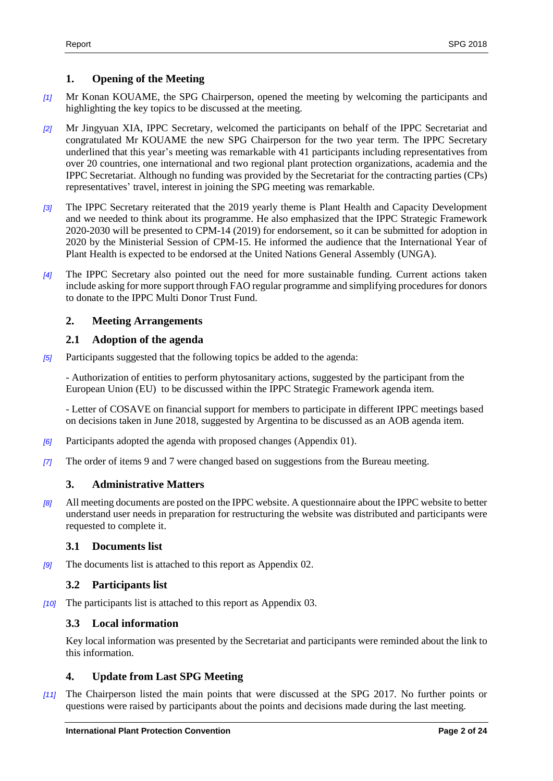# <span id="page-3-0"></span>**1. Opening of the Meeting**

- *[1]* Mr Konan KOUAME, the SPG Chairperson, opened the meeting by welcoming the participants and highlighting the key topics to be discussed at the meeting.
- *[2]* Mr Jingyuan XIA, IPPC Secretary, welcomed the participants on behalf of the IPPC Secretariat and congratulated Mr KOUAME the new SPG Chairperson for the two year term. The IPPC Secretary underlined that this year's meeting was remarkable with 41 participants including representatives from over 20 countries, one international and two regional plant protection organizations, academia and the IPPC Secretariat. Although no funding was provided by the Secretariat for the contracting parties (CPs) representatives' travel, interest in joining the SPG meeting was remarkable.
- *[3]* The IPPC Secretary reiterated that the 2019 yearly theme is Plant Health and Capacity Development and we needed to think about its programme. He also emphasized that the IPPC Strategic Framework 2020-2030 will be presented to CPM-14 (2019) for endorsement, so it can be submitted for adoption in 2020 by the Ministerial Session of CPM-15. He informed the audience that the International Year of Plant Health is expected to be endorsed at the United Nations General Assembly (UNGA).
- *[4]* The IPPC Secretary also pointed out the need for more sustainable funding. Current actions taken include asking for more support through FAO regular programme and simplifying procedures for donors to donate to the IPPC Multi Donor Trust Fund.

# <span id="page-3-1"></span>**2. Meeting Arrangements**

# <span id="page-3-2"></span>**2.1 Adoption of the agenda**

*[5]* Participants suggested that the following topics be added to the agenda:

- Authorization of entities to perform phytosanitary actions, suggested by the participant from the European Union (EU) to be discussed within the IPPC Strategic Framework agenda item.

- Letter of COSAVE on financial support for members to participate in different IPPC meetings based on decisions taken in June 2018, suggested by Argentina to be discussed as an AOB agenda item.

- *[6]* Participants adopted the agenda with proposed changes (Appendix 01).
- *[7]* The order of items 9 and 7 were changed based on suggestions from the Bureau meeting.

# <span id="page-3-3"></span>**3. Administrative Matters**

*[8]* All meeting documents are posted on the IPPC website. A questionnaire about the IPPC website to better understand user needs in preparation for restructuring the website was distributed and participants were requested to complete it.

# <span id="page-3-4"></span>**3.1 Documents list**

*[9]* The documents list is attached to this report as Appendix 02.

# <span id="page-3-5"></span>**3.2 Participants list**

*[10]* The participants list is attached to this report as Appendix 03.

# <span id="page-3-6"></span>**3.3 Local information**

Key local information was presented by the Secretariat and participants were reminded about the link to this information.

# <span id="page-3-7"></span>**4. Update from Last SPG Meeting**

*[11]* The Chairperson listed the main points that were discussed at the SPG 2017. No further points or questions were raised by participants about the points and decisions made during the last meeting.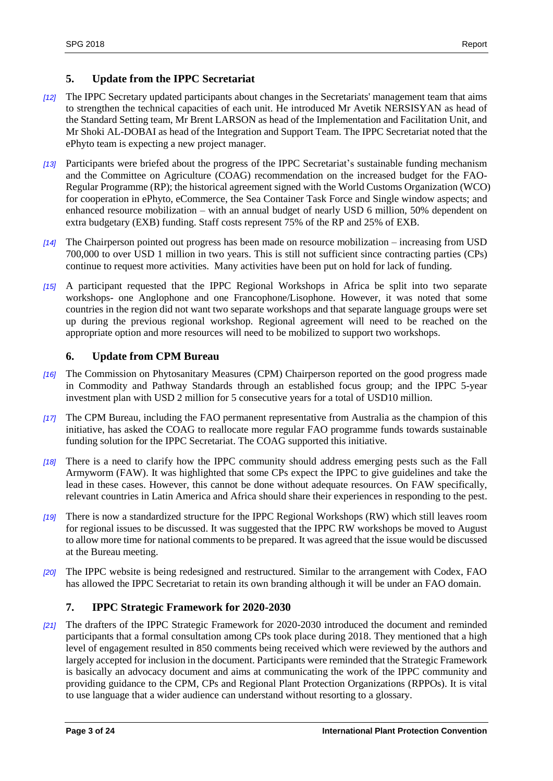# <span id="page-4-0"></span>**5. Update from the IPPC Secretariat**

- *[12]* The IPPC Secretary updated participants about changes in the Secretariats' management team that aims to strengthen the technical capacities of each unit. He introduced Mr Avetik NERSISYAN as head of the Standard Setting team, Mr Brent LARSON as head of the Implementation and Facilitation Unit, and Mr Shoki AL-DOBAI as head of the Integration and Support Team. The IPPC Secretariat noted that the ePhyto team is expecting a new project manager.
- *[13]* Participants were briefed about the progress of the IPPC Secretariat's sustainable funding mechanism and the Committee on Agriculture (COAG) recommendation on the increased budget for the FAO-Regular Programme (RP); the historical agreement signed with the World Customs Organization (WCO) for cooperation in ePhyto, eCommerce, the Sea Container Task Force and Single window aspects; and enhanced resource mobilization – with an annual budget of nearly USD 6 million, 50% dependent on extra budgetary (EXB) funding. Staff costs represent 75% of the RP and 25% of EXB.
- *[14]* The Chairperson pointed out progress has been made on resource mobilization increasing from USD 700,000 to over USD 1 million in two years. This is still not sufficient since contracting parties (CPs) continue to request more activities. Many activities have been put on hold for lack of funding.
- *[15]* A participant requested that the IPPC Regional Workshops in Africa be split into two separate workshops- one Anglophone and one Francophone/Lisophone. However, it was noted that some countries in the region did not want two separate workshops and that separate language groups were set up during the previous regional workshop. Regional agreement will need to be reached on the appropriate option and more resources will need to be mobilized to support two workshops.

# <span id="page-4-1"></span>**6. Update from CPM Bureau**

- *[16]* The Commission on Phytosanitary Measures (CPM) Chairperson reported on the good progress made in Commodity and Pathway Standards through an established focus group; and the IPPC 5-year investment plan with USD 2 million for 5 consecutive years for a total of USD10 million.
- *[17]* The CPM Bureau, including the FAO permanent representative from Australia as the champion of this initiative, has asked the COAG to reallocate more regular FAO programme funds towards sustainable funding solution for the IPPC Secretariat. The COAG supported this initiative.
- *[18]* There is a need to clarify how the IPPC community should address emerging pests such as the Fall Armyworm (FAW). It was highlighted that some CPs expect the IPPC to give guidelines and take the lead in these cases. However, this cannot be done without adequate resources. On FAW specifically, relevant countries in Latin America and Africa should share their experiences in responding to the pest.
- *[19]* There is now a standardized structure for the IPPC Regional Workshops (RW) which still leaves room for regional issues to be discussed. It was suggested that the IPPC RW workshops be moved to August to allow more time for national comments to be prepared. It was agreed that the issue would be discussed at the Bureau meeting.
- *[20]* The IPPC website is being redesigned and restructured. Similar to the arrangement with Codex, FAO has allowed the IPPC Secretariat to retain its own branding although it will be under an FAO domain.

# <span id="page-4-2"></span>**7. IPPC Strategic Framework for 2020-2030**

*[21]* The drafters of the IPPC Strategic Framework for 2020-2030 introduced the document and reminded participants that a formal consultation among CPs took place during 2018. They mentioned that a high level of engagement resulted in 850 comments being received which were reviewed by the authors and largely accepted for inclusion in the document. Participants were reminded that the Strategic Framework is basically an advocacy document and aims at communicating the work of the IPPC community and providing guidance to the CPM, CPs and Regional Plant Protection Organizations (RPPOs). It is vital to use language that a wider audience can understand without resorting to a glossary.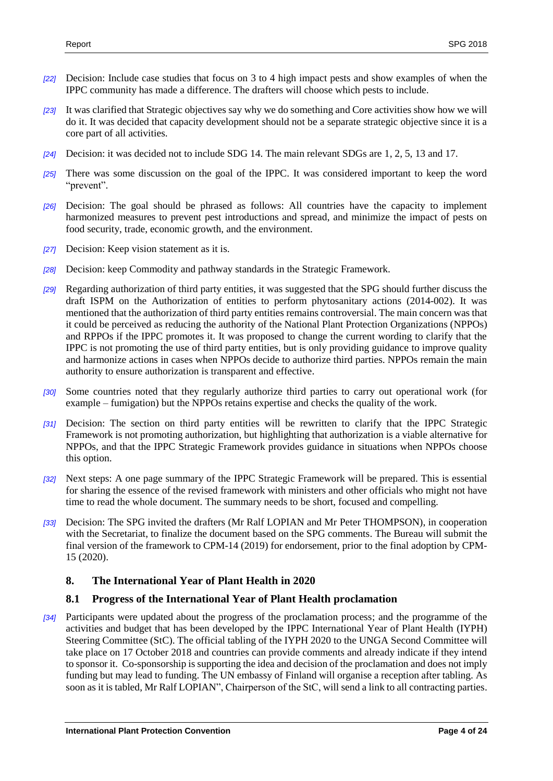- *[22]* Decision: Include case studies that focus on 3 to 4 high impact pests and show examples of when the IPPC community has made a difference. The drafters will choose which pests to include.
- *[23]* It was clarified that Strategic objectives say why we do something and Core activities show how we will do it. It was decided that capacity development should not be a separate strategic objective since it is a core part of all activities.
- *[24]* Decision: it was decided not to include SDG 14. The main relevant SDGs are 1, 2, 5, 13 and 17.
- *[25]* There was some discussion on the goal of the IPPC. It was considered important to keep the word "prevent".
- *[26]* Decision: The goal should be phrased as follows: All countries have the capacity to implement harmonized measures to prevent pest introductions and spread, and minimize the impact of pests on food security, trade, economic growth, and the environment.
- *[27]* Decision: Keep vision statement as it is.
- *[28]* Decision: keep Commodity and pathway standards in the Strategic Framework.
- *[29]* Regarding authorization of third party entities, it was suggested that the SPG should further discuss the draft ISPM on the Authorization of entities to perform phytosanitary actions (2014-002). It was mentioned that the authorization of third party entities remains controversial. The main concern was that it could be perceived as reducing the authority of the National Plant Protection Organizations (NPPOs) and RPPOs if the IPPC promotes it. It was proposed to change the current wording to clarify that the IPPC is not promoting the use of third party entities, but is only providing guidance to improve quality and harmonize actions in cases when NPPOs decide to authorize third parties. NPPOs remain the main authority to ensure authorization is transparent and effective.
- *[30]* Some countries noted that they regularly authorize third parties to carry out operational work (for example – fumigation) but the NPPOs retains expertise and checks the quality of the work.
- *[31]* Decision: The section on third party entities will be rewritten to clarify that the IPPC Strategic Framework is not promoting authorization, but highlighting that authorization is a viable alternative for NPPOs, and that the IPPC Strategic Framework provides guidance in situations when NPPOs choose this option.
- *[32]* Next steps: A one page summary of the IPPC Strategic Framework will be prepared. This is essential for sharing the essence of the revised framework with ministers and other officials who might not have time to read the whole document. The summary needs to be short, focused and compelling.
- *[33]* Decision: The SPG invited the drafters (Mr Ralf LOPIAN and Mr Peter THOMPSON), in cooperation with the Secretariat, to finalize the document based on the SPG comments. The Bureau will submit the final version of the framework to CPM-14 (2019) for endorsement, prior to the final adoption by CPM-15 (2020).

# <span id="page-5-0"></span>**8. The International Year of Plant Health in 2020**

# <span id="page-5-1"></span>**8.1 Progress of the International Year of Plant Health proclamation**

*[34]* Participants were updated about the progress of the proclamation process; and the programme of the activities and budget that has been developed by the IPPC International Year of Plant Health (IYPH) Steering Committee (StC). The official tabling of the IYPH 2020 to the UNGA Second Committee will take place on 17 October 2018 and countries can provide comments and already indicate if they intend to sponsor it. Co-sponsorship is supporting the idea and decision of the proclamation and does not imply funding but may lead to funding. The UN embassy of Finland will organise a reception after tabling. As soon as it is tabled, Mr Ralf LOPIAN", Chairperson of the StC, will send a link to all contracting parties.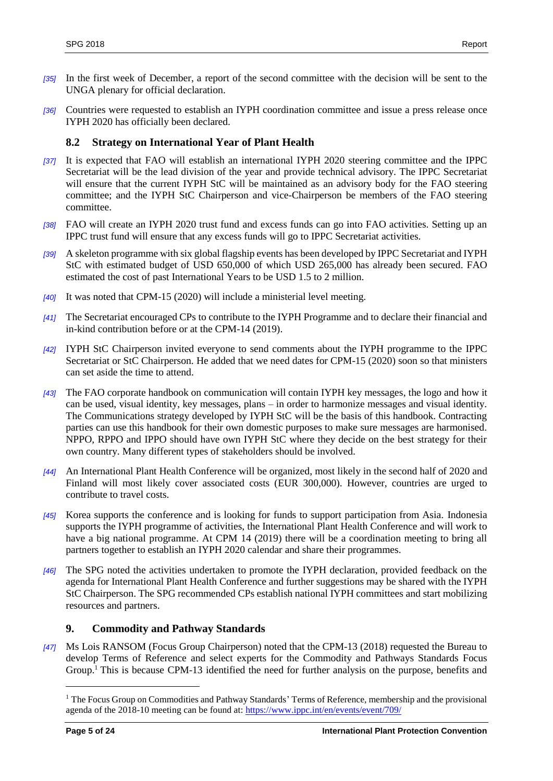- *[35]* In the first week of December, a report of the second committee with the decision will be sent to the UNGA plenary for official declaration.
- *[36]* Countries were requested to establish an IYPH coordination committee and issue a press release once IYPH 2020 has officially been declared.

# <span id="page-6-0"></span>**8.2 Strategy on International Year of Plant Health**

- *[37]* It is expected that FAO will establish an international IYPH 2020 steering committee and the IPPC Secretariat will be the lead division of the year and provide technical advisory. The IPPC Secretariat will ensure that the current IYPH StC will be maintained as an advisory body for the FAO steering committee; and the IYPH StC Chairperson and vice-Chairperson be members of the FAO steering committee.
- *[38]* FAO will create an IYPH 2020 trust fund and excess funds can go into FAO activities. Setting up an IPPC trust fund will ensure that any excess funds will go to IPPC Secretariat activities.
- *[39]* A skeleton programme with six global flagship events has been developed by IPPC Secretariat and IYPH StC with estimated budget of USD 650,000 of which USD 265,000 has already been secured. FAO estimated the cost of past International Years to be USD 1.5 to 2 million.
- *[40]* It was noted that CPM-15 (2020) will include a ministerial level meeting.
- *[41]* The Secretariat encouraged CPs to contribute to the IYPH Programme and to declare their financial and in-kind contribution before or at the CPM-14 (2019).
- *[42]* IYPH StC Chairperson invited everyone to send comments about the IYPH programme to the IPPC Secretariat or StC Chairperson. He added that we need dates for CPM-15 (2020) soon so that ministers can set aside the time to attend.
- *[43]* The FAO corporate handbook on communication will contain IYPH key messages, the logo and how it can be used, visual identity, key messages, plans – in order to harmonize messages and visual identity. The Communications strategy developed by IYPH StC will be the basis of this handbook. Contracting parties can use this handbook for their own domestic purposes to make sure messages are harmonised. NPPO, RPPO and IPPO should have own IYPH StC where they decide on the best strategy for their own country. Many different types of stakeholders should be involved.
- *[44]* An International Plant Health Conference will be organized, most likely in the second half of 2020 and Finland will most likely cover associated costs (EUR 300,000). However, countries are urged to contribute to travel costs.
- *[45]* Korea supports the conference and is looking for funds to support participation from Asia. Indonesia supports the IYPH programme of activities, the International Plant Health Conference and will work to have a big national programme. At CPM 14 (2019) there will be a coordination meeting to bring all partners together to establish an IYPH 2020 calendar and share their programmes.
- *[46]* The SPG noted the activities undertaken to promote the IYPH declaration, provided feedback on the agenda for International Plant Health Conference and further suggestions may be shared with the IYPH StC Chairperson. The SPG recommended CPs establish national IYPH committees and start mobilizing resources and partners.

# <span id="page-6-1"></span>**9. Commodity and Pathway Standards**

*[47]* Ms Lois RANSOM (Focus Group Chairperson) noted that the CPM-13 (2018) requested the Bureau to develop Terms of Reference and select experts for the Commodity and Pathways Standards Focus Group.<sup>1</sup> This is because CPM-13 identified the need for further analysis on the purpose, benefits and

l

<sup>&</sup>lt;sup>1</sup> The Focus Group on Commodities and Pathway Standards' Terms of Reference, membership and the provisional agenda of the 2018-10 meeting can be found at:<https://www.ippc.int/en/events/event/709/>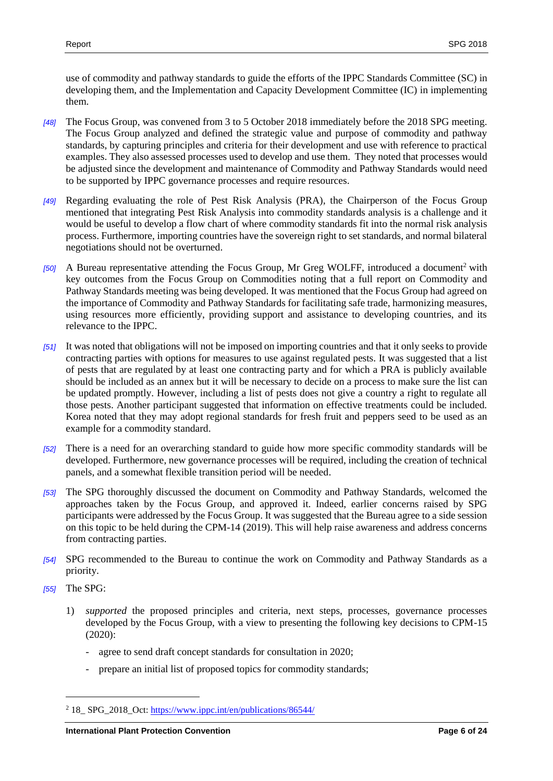use of commodity and pathway standards to guide the efforts of the IPPC Standards Committee (SC) in developing them, and the Implementation and Capacity Development Committee (IC) in implementing them.

- *[48]* The Focus Group, was convened from 3 to 5 October 2018 immediately before the 2018 SPG meeting. The Focus Group analyzed and defined the strategic value and purpose of commodity and pathway standards, by capturing principles and criteria for their development and use with reference to practical examples. They also assessed processes used to develop and use them. They noted that processes would be adjusted since the development and maintenance of Commodity and Pathway Standards would need to be supported by IPPC governance processes and require resources.
- *[49]* Regarding evaluating the role of Pest Risk Analysis (PRA), the Chairperson of the Focus Group mentioned that integrating Pest Risk Analysis into commodity standards analysis is a challenge and it would be useful to develop a flow chart of where commodity standards fit into the normal risk analysis process. Furthermore, importing countries have the sovereign right to set standards, and normal bilateral negotiations should not be overturned.
- *[50]* A Bureau representative attending the Focus Group, Mr Greg WOLFF, introduced a document<sup>2</sup> with key outcomes from the Focus Group on Commodities noting that a full report on Commodity and Pathway Standards meeting was being developed. It was mentioned that the Focus Group had agreed on the importance of Commodity and Pathway Standards for facilitating safe trade, harmonizing measures, using resources more efficiently, providing support and assistance to developing countries, and its relevance to the IPPC.
- *[51]* It was noted that obligations will not be imposed on importing countries and that it only seeks to provide contracting parties with options for measures to use against regulated pests. It was suggested that a list of pests that are regulated by at least one contracting party and for which a PRA is publicly available should be included as an annex but it will be necessary to decide on a process to make sure the list can be updated promptly. However, including a list of pests does not give a country a right to regulate all those pests. Another participant suggested that information on effective treatments could be included. Korea noted that they may adopt regional standards for fresh fruit and peppers seed to be used as an example for a commodity standard.
- *[52]* There is a need for an overarching standard to guide how more specific commodity standards will be developed. Furthermore, new governance processes will be required, including the creation of technical panels, and a somewhat flexible transition period will be needed.
- *[53]* The SPG thoroughly discussed the document on Commodity and Pathway Standards, welcomed the approaches taken by the Focus Group, and approved it. Indeed, earlier concerns raised by SPG participants were addressed by the Focus Group. It was suggested that the Bureau agree to a side session on this topic to be held during the CPM-14 (2019). This will help raise awareness and address concerns from contracting parties.
- *[54]* SPG recommended to the Bureau to continue the work on Commodity and Pathway Standards as a priority.
- *[55]* The SPG:

 $\overline{a}$ 

- 1) *supported* the proposed principles and criteria, next steps, processes, governance processes developed by the Focus Group, with a view to presenting the following key decisions to CPM-15 (2020):
	- agree to send draft concept standards for consultation in 2020;
	- prepare an initial list of proposed topics for commodity standards;

<sup>2</sup> 18\_ SPG\_2018\_Oct:<https://www.ippc.int/en/publications/86544/>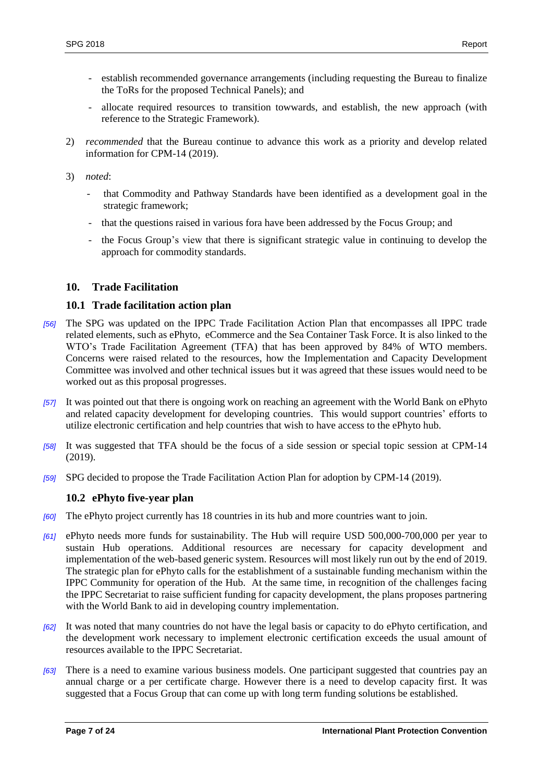- establish recommended governance arrangements (including requesting the Bureau to finalize the ToRs for the proposed Technical Panels); and
- allocate required resources to transition towwards, and establish, the new approach (with reference to the Strategic Framework).
- 2) *recommended* that the Bureau continue to advance this work as a priority and develop related information for CPM-14 (2019).

3) *noted*:

- that Commodity and Pathway Standards have been identified as a development goal in the strategic framework;
- that the questions raised in various fora have been addressed by the Focus Group; and
- the Focus Group's view that there is significant strategic value in continuing to develop the approach for commodity standards.

# <span id="page-8-0"></span>**10. Trade Facilitation**

#### <span id="page-8-1"></span>**10.1 Trade facilitation action plan**

- *[56]* The SPG was updated on the IPPC Trade Facilitation Action Plan that encompasses all IPPC trade related elements, such as ePhyto, eCommerce and the Sea Container Task Force. It is also linked to the WTO's Trade Facilitation Agreement (TFA) that has been approved by 84% of WTO members. Concerns were raised related to the resources, how the Implementation and Capacity Development Committee was involved and other technical issues but it was agreed that these issues would need to be worked out as this proposal progresses.
- *[57]* It was pointed out that there is ongoing work on reaching an agreement with the World Bank on ePhyto and related capacity development for developing countries. This would support countries' efforts to utilize electronic certification and help countries that wish to have access to the ePhyto hub.
- *[58]* It was suggested that TFA should be the focus of a side session or special topic session at CPM-14 (2019).
- *[59]* SPG decided to propose the Trade Facilitation Action Plan for adoption by CPM-14 (2019).

# <span id="page-8-2"></span>**10.2 ePhyto five-year plan**

- *[60]* The ePhyto project currently has 18 countries in its hub and more countries want to join.
- *[61]* ePhyto needs more funds for sustainability. The Hub will require USD 500,000-700,000 per year to sustain Hub operations. Additional resources are necessary for capacity development and implementation of the web-based generic system. Resources will most likely run out by the end of 2019. The strategic plan for ePhyto calls for the establishment of a sustainable funding mechanism within the IPPC Community for operation of the Hub. At the same time, in recognition of the challenges facing the IPPC Secretariat to raise sufficient funding for capacity development, the plans proposes partnering with the World Bank to aid in developing country implementation.
- *[62]* It was noted that many countries do not have the legal basis or capacity to do ePhyto certification, and the development work necessary to implement electronic certification exceeds the usual amount of resources available to the IPPC Secretariat.
- *[63]* There is a need to examine various business models. One participant suggested that countries pay an annual charge or a per certificate charge. However there is a need to develop capacity first. It was suggested that a Focus Group that can come up with long term funding solutions be established.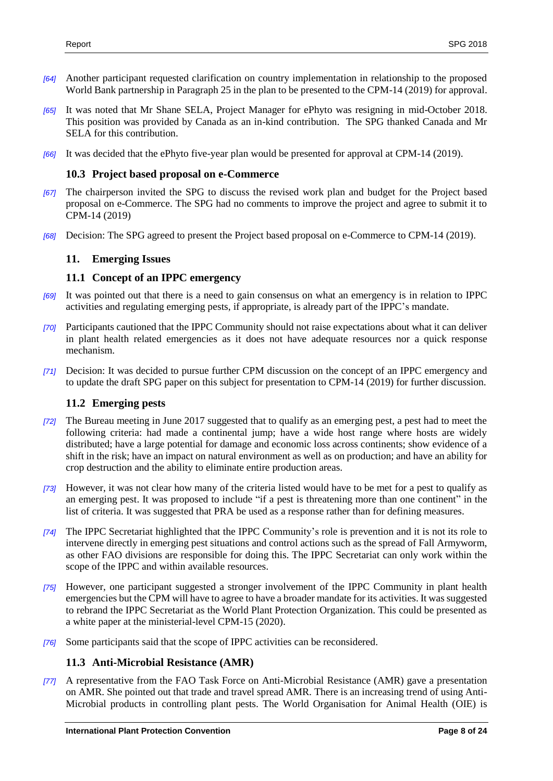- *[64]* Another participant requested clarification on country implementation in relationship to the proposed World Bank partnership in Paragraph 25 in the plan to be presented to the CPM-14 (2019) for approval.
- *[65]* It was noted that Mr Shane SELA, Project Manager for ePhyto was resigning in mid-October 2018. This position was provided by Canada as an in-kind contribution. The SPG thanked Canada and Mr SELA for this contribution.
- *[66]* It was decided that the ePhyto five-year plan would be presented for approval at CPM-14 (2019).

#### <span id="page-9-0"></span>**10.3 Project based proposal on e-Commerce**

- *[67]* The chairperson invited the SPG to discuss the revised work plan and budget for the Project based proposal on e-Commerce. The SPG had no comments to improve the project and agree to submit it to CPM-14 (2019)
- *[68]* Decision: The SPG agreed to present the Project based proposal on e-Commerce to CPM-14 (2019).

#### <span id="page-9-1"></span>**11. Emerging Issues**

#### <span id="page-9-2"></span>**11.1 Concept of an IPPC emergency**

- *[69]* It was pointed out that there is a need to gain consensus on what an emergency is in relation to IPPC activities and regulating emerging pests, if appropriate, is already part of the IPPC's mandate.
- *[70]* Participants cautioned that the IPPC Community should not raise expectations about what it can deliver in plant health related emergencies as it does not have adequate resources nor a quick response mechanism.
- *[71]* Decision: It was decided to pursue further CPM discussion on the concept of an IPPC emergency and to update the draft SPG paper on this subject for presentation to CPM-14 (2019) for further discussion.

#### <span id="page-9-3"></span>**11.2 Emerging pests**

- *[72]* The Bureau meeting in June 2017 suggested that to qualify as an emerging pest, a pest had to meet the following criteria: had made a continental jump; have a wide host range where hosts are widely distributed; have a large potential for damage and economic loss across continents; show evidence of a shift in the risk; have an impact on natural environment as well as on production; and have an ability for crop destruction and the ability to eliminate entire production areas.
- *[73]* However, it was not clear how many of the criteria listed would have to be met for a pest to qualify as an emerging pest. It was proposed to include "if a pest is threatening more than one continent" in the list of criteria. It was suggested that PRA be used as a response rather than for defining measures.
- *[74]* The IPPC Secretariat highlighted that the IPPC Community's role is prevention and it is not its role to intervene directly in emerging pest situations and control actions such as the spread of Fall Armyworm, as other FAO divisions are responsible for doing this. The IPPC Secretariat can only work within the scope of the IPPC and within available resources.
- *[75]* However, one participant suggested a stronger involvement of the IPPC Community in plant health emergencies but the CPM will have to agree to have a broader mandate for its activities. It was suggested to rebrand the IPPC Secretariat as the World Plant Protection Organization. This could be presented as a white paper at the ministerial-level CPM-15 (2020).
- *[76]* Some participants said that the scope of IPPC activities can be reconsidered.

#### <span id="page-9-4"></span>**11.3 Anti-Microbial Resistance (AMR)**

*[77]* A representative from the FAO Task Force on Anti-Microbial Resistance (AMR) gave a presentation on AMR. She pointed out that trade and travel spread AMR. There is an increasing trend of using Anti-Microbial products in controlling plant pests. The World Organisation for Animal Health (OIE) is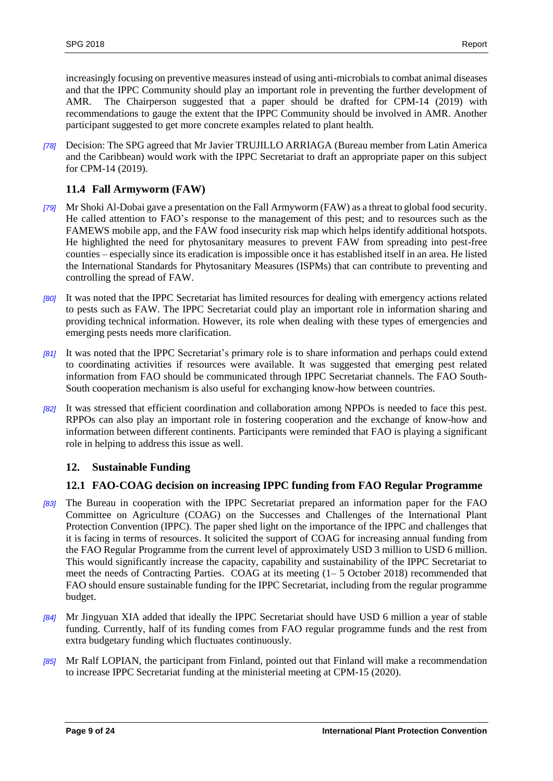increasingly focusing on preventive measures instead of using anti-microbials to combat animal diseases and that the IPPC Community should play an important role in preventing the further development of AMR. The Chairperson suggested that a paper should be drafted for CPM-14 (2019) with recommendations to gauge the extent that the IPPC Community should be involved in AMR. Another participant suggested to get more concrete examples related to plant health.

*[78]* Decision: The SPG agreed that Mr Javier TRUJILLO ARRIAGA (Bureau member from Latin America and the Caribbean) would work with the IPPC Secretariat to draft an appropriate paper on this subject for CPM-14 (2019).

# <span id="page-10-0"></span>**11.4 Fall Armyworm (FAW)**

- *[79]* Mr Shoki Al-Dobai gave a presentation on the Fall Armyworm (FAW) as a threat to global food security. He called attention to FAO's response to the management of this pest; and to resources such as the FAMEWS mobile app, and the FAW food insecurity risk map which helps identify additional hotspots. He highlighted the need for phytosanitary measures to prevent FAW from spreading into pest-free counties – especially since its eradication is impossible once it has established itself in an area. He listed the International Standards for Phytosanitary Measures (ISPMs) that can contribute to preventing and controlling the spread of FAW.
- *[80]* It was noted that the IPPC Secretariat has limited resources for dealing with emergency actions related to pests such as FAW. The IPPC Secretariat could play an important role in information sharing and providing technical information. However, its role when dealing with these types of emergencies and emerging pests needs more clarification.
- *[81]* It was noted that the IPPC Secretariat's primary role is to share information and perhaps could extend to coordinating activities if resources were available. It was suggested that emerging pest related information from FAO should be communicated through IPPC Secretariat channels. The FAO South-South cooperation mechanism is also useful for exchanging know-how between countries.
- *[82]* It was stressed that efficient coordination and collaboration among NPPOs is needed to face this pest. RPPOs can also play an important role in fostering cooperation and the exchange of know-how and information between different continents. Participants were reminded that FAO is playing a significant role in helping to address this issue as well.

# <span id="page-10-1"></span>**12. Sustainable Funding**

# <span id="page-10-2"></span>**12.1 FAO-COAG decision on increasing IPPC funding from FAO Regular Programme**

- *[83]* The Bureau in cooperation with the IPPC Secretariat prepared an information paper for the FAO Committee on Agriculture (COAG) on the Successes and Challenges of the International Plant Protection Convention (IPPC). The paper shed light on the importance of the IPPC and challenges that it is facing in terms of resources. It solicited the support of COAG for increasing annual funding from the FAO Regular Programme from the current level of approximately USD 3 million to USD 6 million. This would significantly increase the capacity, capability and sustainability of the IPPC Secretariat to meet the needs of Contracting Parties. COAG at its meeting (1– 5 October 2018) recommended that FAO should ensure sustainable funding for the IPPC Secretariat, including from the regular programme budget.
- *[84]* Mr Jingyuan XIA added that ideally the IPPC Secretariat should have USD 6 million a year of stable funding. Currently, half of its funding comes from FAO regular programme funds and the rest from extra budgetary funding which fluctuates continuously.
- *[85]* Mr Ralf LOPIAN, the participant from Finland, pointed out that Finland will make a recommendation to increase IPPC Secretariat funding at the ministerial meeting at CPM-15 (2020).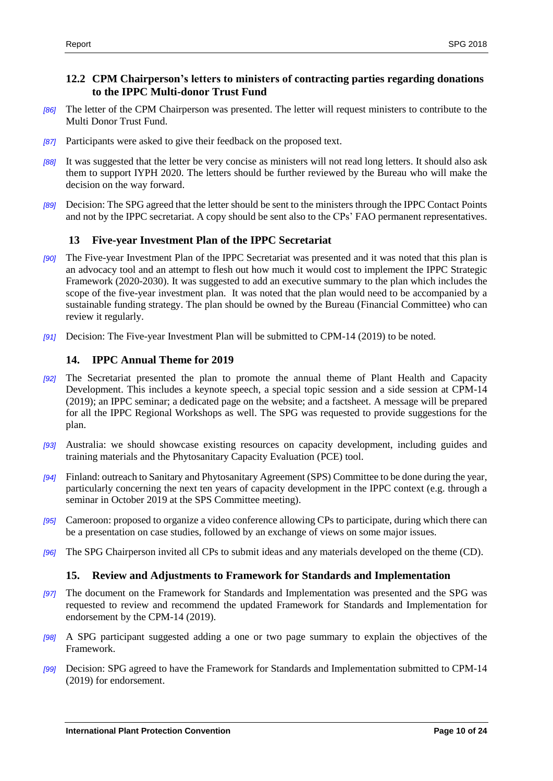# <span id="page-11-0"></span>**12.2 CPM Chairperson's letters to ministers of contracting parties regarding donations to the IPPC Multi-donor Trust Fund**

- *[86]* The letter of the CPM Chairperson was presented. The letter will request ministers to contribute to the Multi Donor Trust Fund.
- *[87]* Participants were asked to give their feedback on the proposed text.
- *[88]* It was suggested that the letter be very concise as ministers will not read long letters. It should also ask them to support IYPH 2020. The letters should be further reviewed by the Bureau who will make the decision on the way forward.
- *[89]* Decision: The SPG agreed that the letter should be sent to the ministers through the IPPC Contact Points and not by the IPPC secretariat. A copy should be sent also to the CPs' FAO permanent representatives.

# <span id="page-11-1"></span>**13 Five-year Investment Plan of the IPPC Secretariat**

- *[90]* The Five-year Investment Plan of the IPPC Secretariat was presented and it was noted that this plan is an advocacy tool and an attempt to flesh out how much it would cost to implement the IPPC Strategic Framework (2020-2030). It was suggested to add an executive summary to the plan which includes the scope of the five-year investment plan. It was noted that the plan would need to be accompanied by a sustainable funding strategy. The plan should be owned by the Bureau (Financial Committee) who can review it regularly.
- *[91]* Decision: The Five-year Investment Plan will be submitted to CPM-14 (2019) to be noted.

# <span id="page-11-2"></span>**14. IPPC Annual Theme for 2019**

- *[92]* The Secretariat presented the plan to promote the annual theme of Plant Health and Capacity Development. This includes a keynote speech, a special topic session and a side session at CPM-14 (2019); an IPPC seminar; a dedicated page on the website; and a factsheet. A message will be prepared for all the IPPC Regional Workshops as well. The SPG was requested to provide suggestions for the plan.
- *[93]* Australia: we should showcase existing resources on capacity development, including guides and training materials and the Phytosanitary Capacity Evaluation (PCE) tool.
- *[94]* Finland: outreach to Sanitary and Phytosanitary Agreement (SPS) Committee to be done during the year, particularly concerning the next ten years of capacity development in the IPPC context (e.g. through a seminar in October 2019 at the SPS Committee meeting).
- *[95]* Cameroon: proposed to organize a video conference allowing CPs to participate, during which there can be a presentation on case studies, followed by an exchange of views on some major issues.
- *[96]* The SPG Chairperson invited all CPs to submit ideas and any materials developed on the theme (CD).

# <span id="page-11-3"></span>**15. Review and Adjustments to Framework for Standards and Implementation**

- *[97]* The document on the Framework for Standards and Implementation was presented and the SPG was requested to review and recommend the updated Framework for Standards and Implementation for endorsement by the CPM-14 (2019).
- *[98]* A SPG participant suggested adding a one or two page summary to explain the objectives of the Framework.
- *[99]* Decision: SPG agreed to have the Framework for Standards and Implementation submitted to CPM-14 (2019) for endorsement.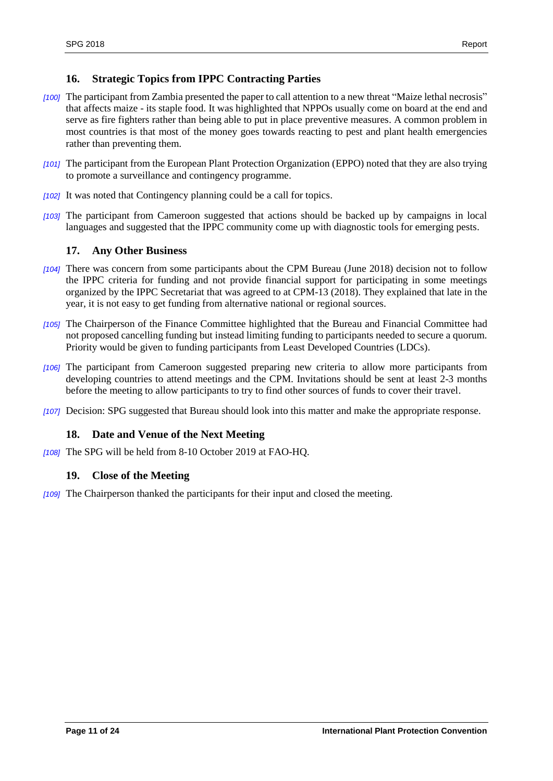# <span id="page-12-0"></span>**16. Strategic Topics from IPPC Contracting Parties**

- *[100]* The participant from Zambia presented the paper to call attention to a new threat "Maize lethal necrosis" that affects maize - its staple food. It was highlighted that NPPOs usually come on board at the end and serve as fire fighters rather than being able to put in place preventive measures. A common problem in most countries is that most of the money goes towards reacting to pest and plant health emergencies rather than preventing them.
- *[101]* The participant from the European Plant Protection Organization (EPPO) noted that they are also trying to promote a surveillance and contingency programme.
- *[102]* It was noted that Contingency planning could be a call for topics.
- *[103]* The participant from Cameroon suggested that actions should be backed up by campaigns in local languages and suggested that the IPPC community come up with diagnostic tools for emerging pests.

# <span id="page-12-1"></span>**17. Any Other Business**

- *[104]* There was concern from some participants about the CPM Bureau (June 2018) decision not to follow the IPPC criteria for funding and not provide financial support for participating in some meetings organized by the IPPC Secretariat that was agreed to at CPM-13 (2018). They explained that late in the year, it is not easy to get funding from alternative national or regional sources.
- *[105]* The Chairperson of the Finance Committee highlighted that the Bureau and Financial Committee had not proposed cancelling funding but instead limiting funding to participants needed to secure a quorum. Priority would be given to funding participants from Least Developed Countries (LDCs).
- *[106]* The participant from Cameroon suggested preparing new criteria to allow more participants from developing countries to attend meetings and the CPM. Invitations should be sent at least 2-3 months before the meeting to allow participants to try to find other sources of funds to cover their travel.
- *[107]* Decision: SPG suggested that Bureau should look into this matter and make the appropriate response.

# <span id="page-12-2"></span>**18. Date and Venue of the Next Meeting**

*[108]* The SPG will be held from 8-10 October 2019 at FAO-HQ.

# <span id="page-12-3"></span>**19. Close of the Meeting**

*[109]* The Chairperson thanked the participants for their input and closed the meeting.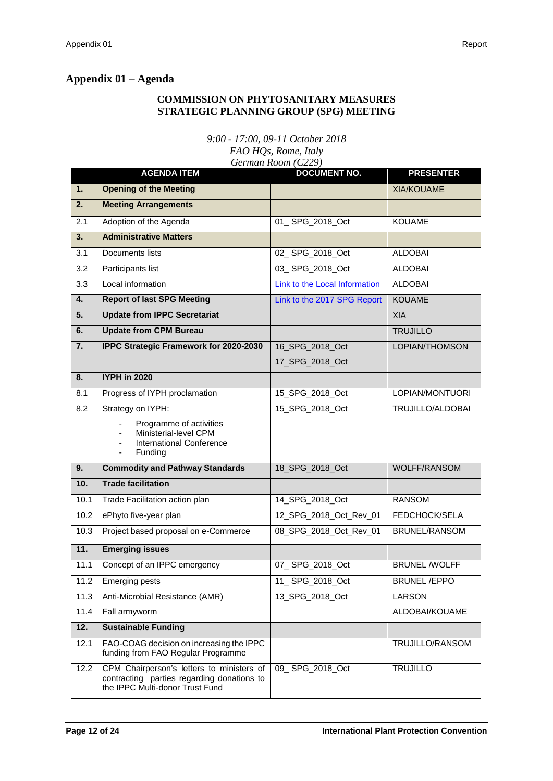# <span id="page-13-0"></span>**Appendix 01 – Agenda**

# **COMMISSION ON PHYTOSANITARY MEASURES STRATEGIC PLANNING GROUP (SPG) MEETING**

*9:00 - 17:00, 09-11 October 2018*

*FAO HQs, Rome, Italy German Room (C229)* 

|                  | <b>AGENDA ITEM</b>                                                                                                         | <b>DOCUMENT NO.</b>           | <b>PRESENTER</b>     |
|------------------|----------------------------------------------------------------------------------------------------------------------------|-------------------------------|----------------------|
| $\overline{1}$ . | <b>Opening of the Meeting</b>                                                                                              |                               | <b>XIA/KOUAME</b>    |
| 2.               | <b>Meeting Arrangements</b>                                                                                                |                               |                      |
| 2.1              | Adoption of the Agenda                                                                                                     | 01_SPG_2018_Oct               | <b>KOUAME</b>        |
| 3.               | <b>Administrative Matters</b>                                                                                              |                               |                      |
| 3.1              | Documents lists                                                                                                            | 02_SPG_2018_Oct               | <b>ALDOBAI</b>       |
| 3.2              | Participants list                                                                                                          | 03_SPG_2018_Oct               | <b>ALDOBAI</b>       |
| 3.3              | Local information                                                                                                          | Link to the Local Information | <b>ALDOBAI</b>       |
| 4.               | <b>Report of last SPG Meeting</b>                                                                                          | Link to the 2017 SPG Report   | <b>KOUAME</b>        |
| 5.               | <b>Update from IPPC Secretariat</b>                                                                                        |                               | <b>XIA</b>           |
| 6.               | <b>Update from CPM Bureau</b>                                                                                              |                               | <b>TRUJILLO</b>      |
| $\overline{7}$ . | <b>IPPC Strategic Framework for 2020-2030</b>                                                                              | 16_SPG_2018_Oct               | LOPIAN/THOMSON       |
|                  |                                                                                                                            | 17_SPG_2018_Oct               |                      |
| 8.               | <b>IYPH in 2020</b>                                                                                                        |                               |                      |
| 8.1              | Progress of IYPH proclamation                                                                                              | 15_SPG_2018_Oct               | LOPIAN/MONTUORI      |
| 8.2              | Strategy on IYPH:                                                                                                          | 15_SPG_2018_Oct               | TRUJILLO/ALDOBAI     |
|                  | Programme of activities<br>Ministerial-level CPM<br><b>International Conference</b><br>Funding<br>$\overline{\phantom{a}}$ |                               |                      |
| 9.               | <b>Commodity and Pathway Standards</b>                                                                                     | 18_SPG_2018_Oct               | <b>WOLFF/RANSOM</b>  |
| 10.              | <b>Trade facilitation</b>                                                                                                  |                               |                      |
| 10.1             | Trade Facilitation action plan                                                                                             | 14_SPG_2018_Oct               | <b>RANSOM</b>        |
| 10.2             | ePhyto five-year plan                                                                                                      | 12_SPG_2018_Oct_Rev_01        | FEDCHOCK/SELA        |
| 10.3             | Project based proposal on e-Commerce                                                                                       | 08_SPG_2018_Oct_Rev_01        | BRUNEL/RANSOM        |
| 11.              | <b>Emerging issues</b>                                                                                                     |                               |                      |
| 11.1             | Concept of an IPPC emergency                                                                                               | 07_SPG_2018_Oct               | <b>BRUNEL /WOLFF</b> |
| 11.2             | Emerging pests                                                                                                             | 11_SPG_2018_Oct               | <b>BRUNEL/EPPO</b>   |
| 11.3             | Anti-Microbial Resistance (AMR)                                                                                            | 13 SPG 2018 Oct               | LARSON               |
| 11.4             | Fall armyworm                                                                                                              |                               | ALDOBAI/KOUAME       |
| 12.              | <b>Sustainable Funding</b>                                                                                                 |                               |                      |
| 12.1             | FAO-COAG decision on increasing the IPPC<br>funding from FAO Regular Programme                                             |                               | TRUJILLO/RANSOM      |
| 12.2             | CPM Chairperson's letters to ministers of<br>contracting parties regarding donations to<br>the IPPC Multi-donor Trust Fund | 09_SPG_2018_Oct               | <b>TRUJILLO</b>      |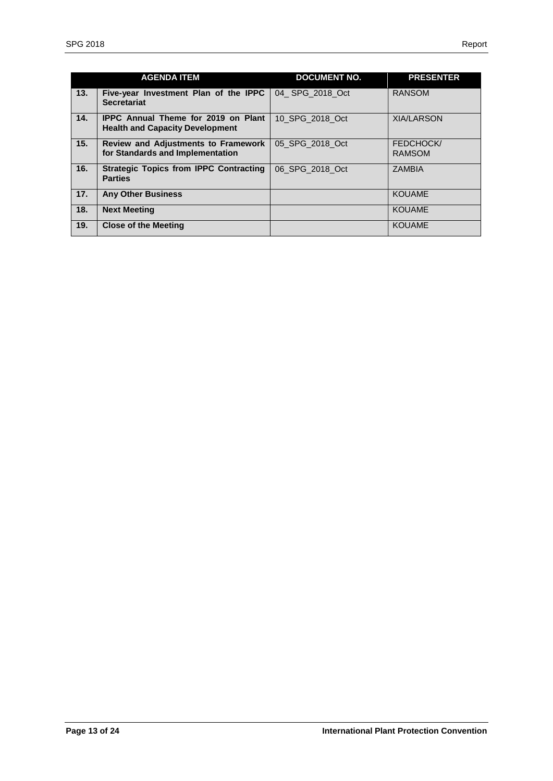|     | <b>AGENDA ITEM</b>                                                                   | <b>DOCUMENT NO.</b> | <b>PRESENTER</b>                  |
|-----|--------------------------------------------------------------------------------------|---------------------|-----------------------------------|
| 13. | Five-year Investment Plan of the IPPC<br><b>Secretariat</b>                          | 04 SPG 2018 Oct     | <b>RANSOM</b>                     |
| 14. | <b>IPPC Annual Theme for 2019 on Plant</b><br><b>Health and Capacity Development</b> | 10 SPG 2018 Oct     | <b>XIA/LARSON</b>                 |
| 15. | <b>Review and Adjustments to Framework</b><br>for Standards and Implementation       | 05 SPG 2018 Oct     | <b>FEDCHOCK/</b><br><b>RAMSOM</b> |
| 16. | <b>Strategic Topics from IPPC Contracting</b><br><b>Parties</b>                      | 06 SPG_2018_Oct     | <b>ZAMBIA</b>                     |
| 17. | <b>Any Other Business</b>                                                            |                     | <b>KOUAME</b>                     |
| 18. | <b>Next Meeting</b>                                                                  |                     | <b>KOUAME</b>                     |
| 19. | <b>Close of the Meeting</b>                                                          |                     | <b>KOUAME</b>                     |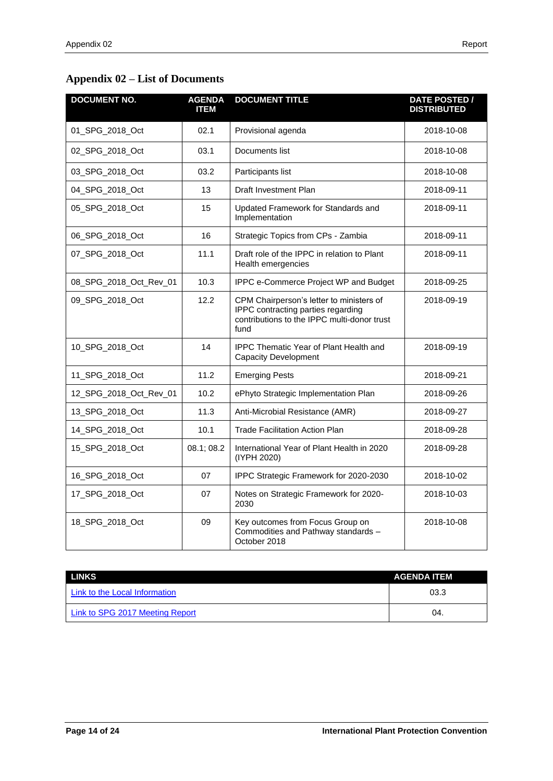# <span id="page-15-0"></span>**Appendix 02 – List of Documents**

| <b>DOCUMENT NO.</b>    | <b>AGENDA</b><br><b>ITEM</b> | <b>DOCUMENT TITLE</b>                                                                                                                 | <b>DATE POSTED /</b><br><b>DISTRIBUTED</b> |
|------------------------|------------------------------|---------------------------------------------------------------------------------------------------------------------------------------|--------------------------------------------|
| 01_SPG_2018_Oct        | 02.1                         | Provisional agenda                                                                                                                    | 2018-10-08                                 |
| 02 SPG 2018 Oct        | 03.1                         | Documents list                                                                                                                        | 2018-10-08                                 |
| 03_SPG_2018_Oct        | 03.2                         | Participants list                                                                                                                     | 2018-10-08                                 |
| 04_SPG_2018_Oct        | 13                           | Draft Investment Plan                                                                                                                 | 2018-09-11                                 |
| 05_SPG_2018_Oct        | 15                           | Updated Framework for Standards and<br>Implementation                                                                                 | 2018-09-11                                 |
| 06_SPG_2018_Oct        | 16                           | Strategic Topics from CPs - Zambia                                                                                                    | 2018-09-11                                 |
| 07_SPG_2018_Oct        | 11.1                         | Draft role of the IPPC in relation to Plant<br>Health emergencies                                                                     | 2018-09-11                                 |
| 08_SPG_2018_Oct_Rev_01 | 10.3                         | IPPC e-Commerce Project WP and Budget                                                                                                 | 2018-09-25                                 |
| 09 SPG 2018 Oct        | 12.2                         | CPM Chairperson's letter to ministers of<br>IPPC contracting parties regarding<br>contributions to the IPPC multi-donor trust<br>fund | 2018-09-19                                 |
| 10 SPG 2018 Oct        | 14                           | <b>IPPC Thematic Year of Plant Health and</b><br><b>Capacity Development</b>                                                          | 2018-09-19                                 |
| 11_SPG_2018_Oct        | 11.2                         | <b>Emerging Pests</b>                                                                                                                 | 2018-09-21                                 |
| 12_SPG_2018_Oct_Rev_01 | 10.2                         | ePhyto Strategic Implementation Plan                                                                                                  | 2018-09-26                                 |
| 13_SPG_2018_Oct        | 11.3                         | Anti-Microbial Resistance (AMR)                                                                                                       | 2018-09-27                                 |
| 14_SPG_2018_Oct        | 10.1                         | <b>Trade Facilitation Action Plan</b>                                                                                                 | 2018-09-28                                 |
| 15_SPG_2018_Oct        | 08.1; 08.2                   | International Year of Plant Health in 2020<br>(IYPH 2020)                                                                             | 2018-09-28                                 |
| 16_SPG_2018_Oct        | 07                           | IPPC Strategic Framework for 2020-2030                                                                                                | 2018-10-02                                 |
| 17_SPG_2018_Oct        | 07                           | Notes on Strategic Framework for 2020-<br>2030                                                                                        | 2018-10-03                                 |
| 18_SPG_2018_Oct        | 09                           | Key outcomes from Focus Group on<br>Commodities and Pathway standards -<br>October 2018                                               | 2018-10-08                                 |

| LINKS                           | <b>AGENDA ITEM</b> |
|---------------------------------|--------------------|
| Link to the Local Information   | 03.3               |
| Link to SPG 2017 Meeting Report | 04.                |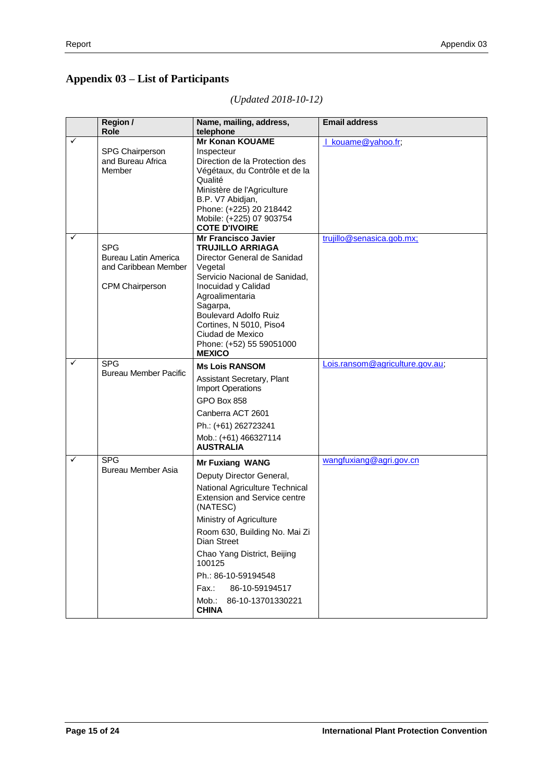# <span id="page-16-0"></span>**Appendix 03 – List of Participants**

|   | <b>Region /</b><br>Role                                                              | Name, mailing, address,<br>telephone                                                                                                                                                                                                                                                                                                                        | <b>Email address</b>            |
|---|--------------------------------------------------------------------------------------|-------------------------------------------------------------------------------------------------------------------------------------------------------------------------------------------------------------------------------------------------------------------------------------------------------------------------------------------------------------|---------------------------------|
| ✓ | SPG Chairperson<br>and Bureau Africa<br>Member                                       | <b>Mr Konan KOUAME</b><br>Inspecteur<br>Direction de la Protection des<br>Végétaux, du Contrôle et de la<br>Qualité<br>Ministère de l'Agriculture<br>B.P. V7 Abidjan,<br>Phone: (+225) 20 218442<br>Mobile: (+225) 07 903754<br><b>COTE D'IVOIRE</b>                                                                                                        | kouame@yahoo.fr;                |
| ✓ | <b>SPG</b><br>Bureau Latin America<br>and Caribbean Member<br><b>CPM Chairperson</b> | Mr Francisco Javier<br><b>TRUJILLO ARRIAGA</b><br>Director General de Sanidad<br>Vegetal<br>Servicio Nacional de Sanidad,<br>Inocuidad y Calidad<br>Agroalimentaria<br>Sagarpa,<br><b>Boulevard Adolfo Ruiz</b><br>Cortines, N 5010, Piso4<br>Ciudad de Mexico<br>Phone: (+52) 55 59051000<br><b>MEXICO</b>                                                 | trujillo@senasica.gob.mx;       |
| ✓ | <b>SPG</b><br><b>Bureau Member Pacific</b>                                           | <b>Ms Lois RANSOM</b><br>Assistant Secretary, Plant<br><b>Import Operations</b><br>GPO Box 858<br>Canberra ACT 2601<br>Ph.: (+61) 262723241<br>Mob.: (+61) 466327114<br><b>AUSTRALIA</b>                                                                                                                                                                    | Lois.ransom@agriculture.gov.au; |
| ✓ | <b>SPG</b><br><b>Bureau Member Asia</b>                                              | <b>Mr Fuxiang WANG</b><br>Deputy Director General,<br>National Agriculture Technical<br><b>Extension and Service centre</b><br>(NATESC)<br>Ministry of Agriculture<br>Room 630, Building No. Mai Zi<br>Dian Street<br>Chao Yang District, Beijing<br>100125<br>Ph.: 86-10-59194548<br>Fax.:<br>86-10-59194517<br>86-10-13701330221<br>Mob.:<br><b>CHINA</b> | wangfuxiang@agri.gov.cn         |

*(Updated 2018-10-12)*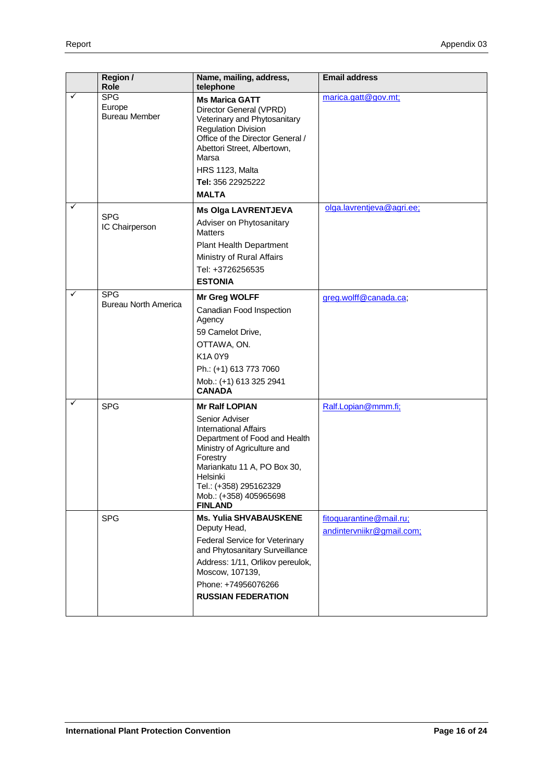|   | Region /<br>Role                             | Name, mailing, address,<br>telephone                                                                                                                                                                                                                                 | <b>Email address</b>                                 |
|---|----------------------------------------------|----------------------------------------------------------------------------------------------------------------------------------------------------------------------------------------------------------------------------------------------------------------------|------------------------------------------------------|
| ✓ | <b>SPG</b><br>Europe<br><b>Bureau Member</b> | <b>Ms Marica GATT</b><br>Director General (VPRD)<br>Veterinary and Phytosanitary<br><b>Regulation Division</b><br>Office of the Director General /<br>Abettori Street, Albertown,<br>Marsa<br>HRS 1123, Malta<br>Tel: 356 22925222<br><b>MALTA</b>                   | marica.gatt@gov.mt;                                  |
| ✓ | <b>SPG</b><br>IC Chairperson                 | <b>Ms Olga LAVRENTJEVA</b><br>Adviser on Phytosanitary<br><b>Matters</b><br>Plant Health Department<br>Ministry of Rural Affairs<br>Tel: +3726256535<br><b>ESTONIA</b>                                                                                               | olga.lavrentjeva@agri.ee;                            |
| ✓ | <b>SPG</b><br><b>Bureau North America</b>    | Mr Greg WOLFF<br>Canadian Food Inspection<br>Agency<br>59 Camelot Drive,<br>OTTAWA, ON.<br>K1A0Y9<br>Ph.: (+1) 613 773 7060<br>Mob.: (+1) 613 325 2941<br><b>CANADA</b>                                                                                              | greg.wolff@canada.ca;                                |
| ✓ | <b>SPG</b>                                   | <b>Mr Ralf LOPIAN</b><br>Senior Adviser<br><b>International Affairs</b><br>Department of Food and Health<br>Ministry of Agriculture and<br>Forestry<br>Mariankatu 11 A, PO Box 30,<br>Helsinki<br>Tel.: (+358) 295162329<br>Mob.: (+358) 405965698<br><b>FINLAND</b> | Ralf.Lopian@mmm.fi;                                  |
|   | <b>SPG</b>                                   | <b>Ms. Yulia SHVABAUSKENE</b><br>Deputy Head,<br>Federal Service for Veterinary<br>and Phytosanitary Surveillance<br>Address: 1/11, Orlikov pereulok,<br>Moscow, 107139,<br>Phone: +74956076266<br><b>RUSSIAN FEDERATION</b>                                         | fitoquarantine@mail.ru;<br>andintervniikr@gmail.com; |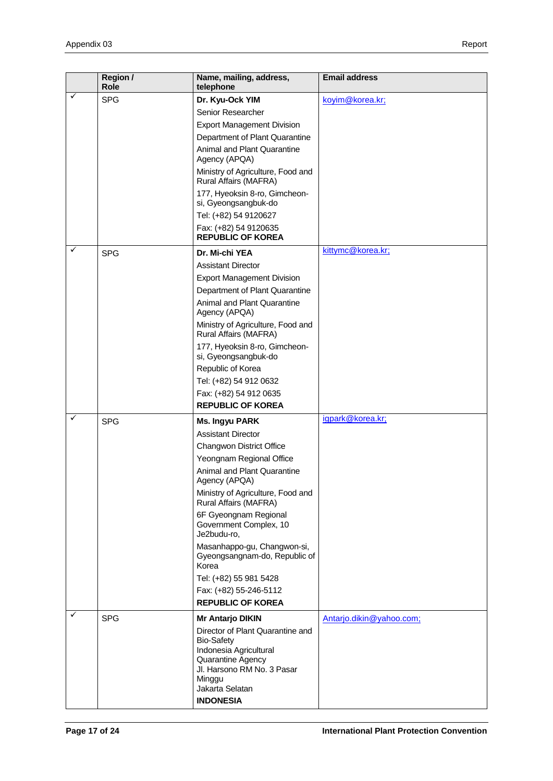|   | Region /<br><b>Role</b> | Name, mailing, address,<br>telephone                                                                                                                            | <b>Email address</b>     |
|---|-------------------------|-----------------------------------------------------------------------------------------------------------------------------------------------------------------|--------------------------|
| ✓ | <b>SPG</b>              | Dr. Kyu-Ock YIM                                                                                                                                                 | koyim@korea.kr;          |
|   |                         | Senior Researcher                                                                                                                                               |                          |
|   |                         | <b>Export Management Division</b>                                                                                                                               |                          |
|   |                         | Department of Plant Quarantine                                                                                                                                  |                          |
|   |                         | <b>Animal and Plant Quarantine</b><br>Agency (APQA)                                                                                                             |                          |
|   |                         | Ministry of Agriculture, Food and<br>Rural Affairs (MAFRA)                                                                                                      |                          |
|   |                         | 177, Hyeoksin 8-ro, Gimcheon-<br>si, Gyeongsangbuk-do                                                                                                           |                          |
|   |                         | Tel: (+82) 54 9120627                                                                                                                                           |                          |
|   |                         | Fax: (+82) 54 9120635<br><b>REPUBLIC OF KOREA</b>                                                                                                               |                          |
| ✓ | <b>SPG</b>              | Dr. Mi-chi YEA                                                                                                                                                  | kittymc@korea.kr;        |
|   |                         | <b>Assistant Director</b>                                                                                                                                       |                          |
|   |                         | <b>Export Management Division</b>                                                                                                                               |                          |
|   |                         | Department of Plant Quarantine                                                                                                                                  |                          |
|   |                         | <b>Animal and Plant Quarantine</b><br>Agency (APQA)                                                                                                             |                          |
|   |                         | Ministry of Agriculture, Food and<br>Rural Affairs (MAFRA)                                                                                                      |                          |
|   |                         | 177, Hyeoksin 8-ro, Gimcheon-<br>si, Gyeongsangbuk-do                                                                                                           |                          |
|   |                         | Republic of Korea                                                                                                                                               |                          |
|   |                         | Tel: (+82) 54 912 0632                                                                                                                                          |                          |
|   |                         | Fax: (+82) 54 912 0635                                                                                                                                          |                          |
|   |                         | <b>REPUBLIC OF KOREA</b>                                                                                                                                        |                          |
| ✓ | <b>SPG</b>              | Ms. Ingyu PARK                                                                                                                                                  | igpark@korea.kr;         |
|   |                         | <b>Assistant Director</b>                                                                                                                                       |                          |
|   |                         | Changwon District Office                                                                                                                                        |                          |
|   |                         | Yeongnam Regional Office                                                                                                                                        |                          |
|   |                         | Animal and Plant Quarantine<br>Agency (APQA)                                                                                                                    |                          |
|   |                         | Ministry of Agriculture, Food and<br>Rural Affairs (MAFRA)                                                                                                      |                          |
|   |                         | 6F Gyeongnam Regional<br>Government Complex, 10<br>Je2budu-ro,                                                                                                  |                          |
|   |                         | Masanhappo-gu, Changwon-si,<br>Gyeongsangnam-do, Republic of<br>Korea                                                                                           |                          |
|   |                         | Tel: (+82) 55 981 5428                                                                                                                                          |                          |
|   |                         | Fax: (+82) 55-246-5112                                                                                                                                          |                          |
|   |                         | <b>REPUBLIC OF KOREA</b>                                                                                                                                        |                          |
| ✓ | <b>SPG</b>              | Mr Antarjo DIKIN                                                                                                                                                | Antarjo.dikin@yahoo.com; |
|   |                         | Director of Plant Quarantine and<br><b>Bio-Safety</b><br>Indonesia Agricultural<br>Quarantine Agency<br>Jl. Harsono RM No. 3 Pasar<br>Minggu<br>Jakarta Selatan |                          |
|   |                         | <b>INDONESIA</b>                                                                                                                                                |                          |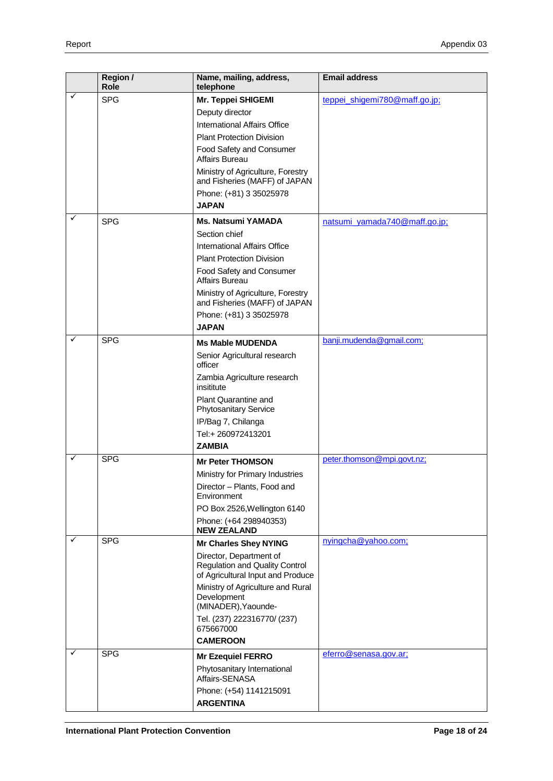|   | Region /<br>Role | Name, mailing, address,<br>telephone                                                                  | <b>Email address</b>          |
|---|------------------|-------------------------------------------------------------------------------------------------------|-------------------------------|
| ✓ | <b>SPG</b>       | Mr. Teppei SHIGEMI                                                                                    | teppei_shigemi780@maff.go.jp; |
|   |                  | Deputy director                                                                                       |                               |
|   |                  | International Affairs Office                                                                          |                               |
|   |                  | <b>Plant Protection Division</b>                                                                      |                               |
|   |                  | Food Safety and Consumer<br>Affairs Bureau                                                            |                               |
|   |                  | Ministry of Agriculture, Forestry<br>and Fisheries (MAFF) of JAPAN                                    |                               |
|   |                  | Phone: (+81) 3 35025978<br><b>JAPAN</b>                                                               |                               |
| ✓ | <b>SPG</b>       | <b>Ms. Natsumi YAMADA</b>                                                                             | natsumi_yamada740@maff.go.jp; |
|   |                  | Section chief                                                                                         |                               |
|   |                  | International Affairs Office                                                                          |                               |
|   |                  | <b>Plant Protection Division</b>                                                                      |                               |
|   |                  | Food Safety and Consumer<br>Affairs Bureau                                                            |                               |
|   |                  | Ministry of Agriculture, Forestry<br>and Fisheries (MAFF) of JAPAN                                    |                               |
|   |                  | Phone: (+81) 3 35025978                                                                               |                               |
|   |                  | <b>JAPAN</b>                                                                                          |                               |
| ✓ | <b>SPG</b>       | <b>Ms Mable MUDENDA</b>                                                                               | banji.mudenda@gmail.com;      |
|   |                  | Senior Agricultural research<br>officer                                                               |                               |
|   |                  | Zambia Agriculture research<br>insititute                                                             |                               |
|   |                  | <b>Plant Quarantine and</b><br><b>Phytosanitary Service</b>                                           |                               |
|   |                  | IP/Bag 7, Chilanga                                                                                    |                               |
|   |                  | Tel:+ 260972413201<br><b>ZAMBIA</b>                                                                   |                               |
| ✓ | <b>SPG</b>       |                                                                                                       | peter.thomson@mpi.govt.nz;    |
|   |                  | <b>Mr Peter THOMSON</b>                                                                               |                               |
|   |                  | Ministry for Primary Industries                                                                       |                               |
|   |                  | Director - Plants, Food and<br>Environment                                                            |                               |
|   |                  | PO Box 2526, Wellington 6140                                                                          |                               |
| ✓ |                  | Phone: (+64 298940353)<br><b>NEW ZEALAND</b>                                                          |                               |
|   | <b>SPG</b>       | <b>Mr Charles Shey NYING</b>                                                                          | nyingcha@yahoo.com;           |
|   |                  | Director, Department of<br><b>Regulation and Quality Control</b><br>of Agricultural Input and Produce |                               |
|   |                  | Ministry of Agriculture and Rural<br>Development<br>(MINADER), Yaounde-                               |                               |
|   |                  | Tel. (237) 222316770/ (237)<br>675667000                                                              |                               |
|   |                  | <b>CAMEROON</b>                                                                                       |                               |
| ✓ | <b>SPG</b>       | <b>Mr Ezequiel FERRO</b>                                                                              | eferro@senasa.gov.ar;         |
|   |                  | Phytosanitary International<br>Affairs-SENASA                                                         |                               |
|   |                  | Phone: (+54) 1141215091<br><b>ARGENTINA</b>                                                           |                               |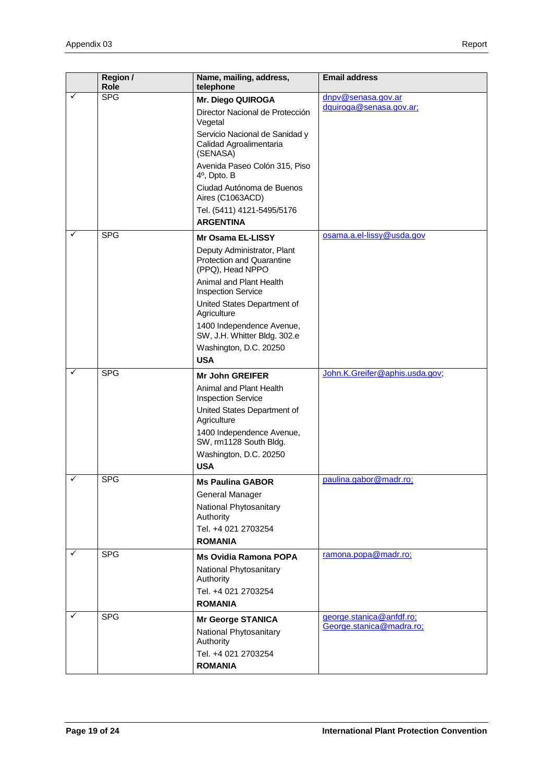|        | Region /<br>Role         | Name, mailing, address,<br>telephone                                                                                                                                                                                                                                                                                       | <b>Email address</b>                                 |
|--------|--------------------------|----------------------------------------------------------------------------------------------------------------------------------------------------------------------------------------------------------------------------------------------------------------------------------------------------------------------------|------------------------------------------------------|
| ✓      | <b>SPG</b>               | Mr. Diego QUIROGA<br>Director Nacional de Protección<br>Vegetal<br>Servicio Nacional de Sanidad y<br>Calidad Agroalimentaria<br>(SENASA)<br>Avenida Paseo Colón 315, Piso<br>$4^{\circ}$ , Dpto. B<br>Ciudad Autónoma de Buenos<br>Aires (C1063ACD)<br>Tel. (5411) 4121-5495/5176<br><b>ARGENTINA</b>                      | dnpv@senasa.gov.ar<br>dquiroga@senasa.gov.ar;        |
| ✓      | <b>SPG</b>               | <b>Mr Osama EL-LISSY</b><br>Deputy Administrator, Plant<br><b>Protection and Quarantine</b><br>(PPQ), Head NPPO<br>Animal and Plant Health<br><b>Inspection Service</b><br>United States Department of<br>Agriculture<br>1400 Independence Avenue,<br>SW, J.H. Whitter Bldg. 302.e<br>Washington, D.C. 20250<br><b>USA</b> | osama.a.el-lissy@usda.gov                            |
| ✓      | <b>SPG</b>               | <b>Mr John GREIFER</b><br>Animal and Plant Health<br><b>Inspection Service</b><br>United States Department of<br>Agriculture<br>1400 Independence Avenue,<br>SW, rm1128 South Bldg.<br>Washington, D.C. 20250<br><b>USA</b>                                                                                                | John.K.Greifer@aphis.usda.gov;                       |
| ✓<br>✓ | <b>SPG</b><br><b>SPG</b> | <b>Ms Paulina GABOR</b><br>General Manager<br>National Phytosanitary<br>Authority<br>Tel. +4 021 2703254<br><b>ROMANIA</b><br><b>Ms Ovidia Ramona POPA</b>                                                                                                                                                                 | paulina.gabor@madr.ro;<br>ramona.popa@madr.ro;       |
|        |                          | National Phytosanitary<br>Authority<br>Tel. +4 021 2703254<br><b>ROMANIA</b>                                                                                                                                                                                                                                               |                                                      |
| ✓      | <b>SPG</b>               | <b>Mr George STANICA</b><br>National Phytosanitary<br>Authority<br>Tel. +4 021 2703254<br><b>ROMANIA</b>                                                                                                                                                                                                                   | george.stanica@anfdf.ro;<br>George.stanica@madra.ro; |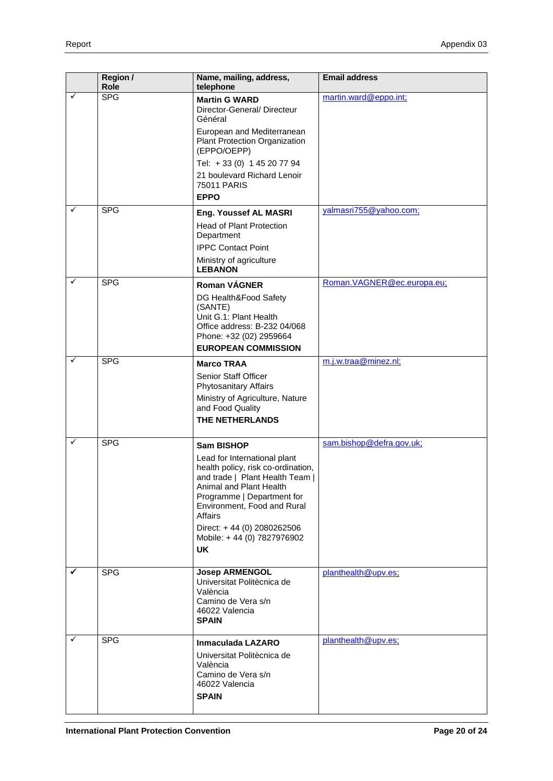|              | Region /<br>Role | Name, mailing, address,<br>telephone                                                                                                                                                                     | <b>Email address</b>       |
|--------------|------------------|----------------------------------------------------------------------------------------------------------------------------------------------------------------------------------------------------------|----------------------------|
| ✓            | <b>SPG</b>       | <b>Martin G WARD</b><br>Director-General/Directeur<br>Général                                                                                                                                            | martin.ward@eppo.int;      |
|              |                  | European and Mediterranean<br>Plant Protection Organization<br>(EPPO/OEPP)                                                                                                                               |                            |
|              |                  | Tel: +33 (0) 1 45 20 77 94                                                                                                                                                                               |                            |
|              |                  | 21 boulevard Richard Lenoir<br><b>75011 PARIS</b><br><b>EPPO</b>                                                                                                                                         |                            |
| ✓            | <b>SPG</b>       | Eng. Youssef AL MASRI                                                                                                                                                                                    | yalmasri755@yahoo.com;     |
|              |                  | <b>Head of Plant Protection</b><br>Department                                                                                                                                                            |                            |
|              |                  | <b>IPPC Contact Point</b>                                                                                                                                                                                |                            |
|              |                  | Ministry of agriculture<br><b>LEBANON</b>                                                                                                                                                                |                            |
| ✓            | <b>SPG</b>       | <b>Roman VAGNER</b>                                                                                                                                                                                      | Roman.VAGNER@ec.europa.eu; |
|              |                  | DG Health&Food Safety<br>(SANTE)                                                                                                                                                                         |                            |
|              |                  | Unit G.1: Plant Health                                                                                                                                                                                   |                            |
|              |                  | Office address: B-232 04/068<br>Phone: +32 (02) 2959664                                                                                                                                                  |                            |
|              |                  | <b>EUROPEAN COMMISSION</b>                                                                                                                                                                               |                            |
| $\checkmark$ | <b>SPG</b>       | <b>Marco TRAA</b>                                                                                                                                                                                        | m.j.w.traa@minez.nl;       |
|              |                  | Senior Staff Officer                                                                                                                                                                                     |                            |
|              |                  | Phytosanitary Affairs                                                                                                                                                                                    |                            |
|              |                  | Ministry of Agriculture, Nature<br>and Food Quality                                                                                                                                                      |                            |
|              |                  | THE NETHERLANDS                                                                                                                                                                                          |                            |
| ✓            | <b>SPG</b>       | <b>Sam BISHOP</b>                                                                                                                                                                                        | sam.bishop@defra.gov.uk;   |
|              |                  | Lead for International plant<br>health policy, risk co-ordination,<br>and trade   Plant Health Team  <br>Animal and Plant Health<br>Programme   Department for<br>Environment, Food and Rural<br>Affairs |                            |
|              |                  | Direct: +44 (0) 2080262506<br>Mobile: +44 (0) 7827976902                                                                                                                                                 |                            |
|              |                  | <b>UK</b>                                                                                                                                                                                                |                            |
| ✓            | <b>SPG</b>       | <b>Josep ARMENGOL</b><br>Universitat Politècnica de<br>València<br>Camino de Vera s/n<br>46022 Valencia<br><b>SPAIN</b>                                                                                  | planthealth@upv.es;        |
| ✓            | <b>SPG</b>       | Inmaculada LAZARO<br>Universitat Politècnica de<br>València<br>Camino de Vera s/n<br>46022 Valencia<br><b>SPAIN</b>                                                                                      | planthealth@upv.es;        |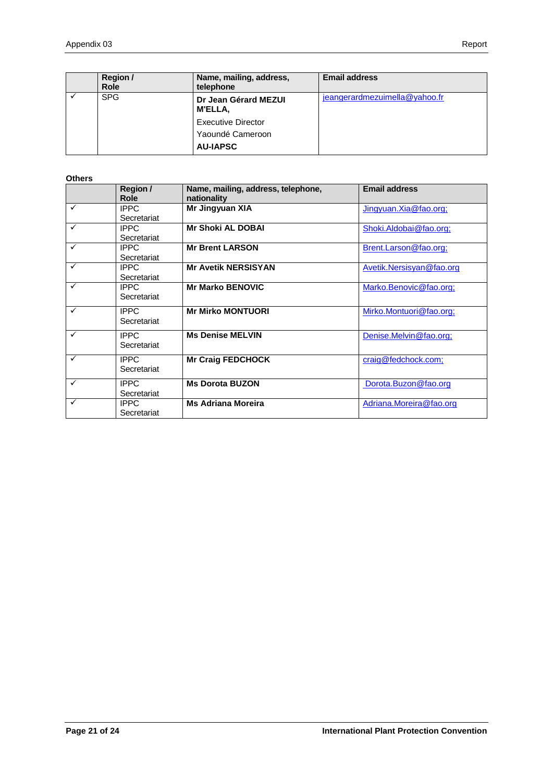| Region /<br><b>Role</b> | Name, mailing, address,<br>telephone                             | <b>Email address</b>          |
|-------------------------|------------------------------------------------------------------|-------------------------------|
| <b>SPG</b>              | Dr Jean Gérard MEZUI<br>M'ELLA.                                  | jeangerardmezuimella@yahoo.fr |
|                         | <b>Executive Director</b><br>Yaoundé Cameroon<br><b>AU-IAPSC</b> |                               |

#### **Others**

|   | Region /    | Name, mailing, address, telephone, | <b>Email address</b>     |
|---|-------------|------------------------------------|--------------------------|
|   | Role        | nationality                        |                          |
| ✓ | <b>IPPC</b> | Mr Jingyuan XIA                    | Jingyuan.Xia@fao.org;    |
|   | Secretariat |                                    |                          |
| ✓ | <b>IPPC</b> | <b>Mr Shoki AL DOBAI</b>           | Shoki.Aldobai@fao.org;   |
|   | Secretariat |                                    |                          |
| ✓ | <b>IPPC</b> | <b>Mr Brent LARSON</b>             | Brent.Larson@fao.org;    |
|   | Secretariat |                                    |                          |
| ✓ | <b>IPPC</b> | <b>Mr Avetik NERSISYAN</b>         | Avetik.Nersisyan@fao.org |
|   | Secretariat |                                    |                          |
| ✓ | <b>IPPC</b> | <b>Mr Marko BENOVIC</b>            | Marko.Benovic@fao.org;   |
|   | Secretariat |                                    |                          |
| ✓ | <b>IPPC</b> | <b>Mr Mirko MONTUORI</b>           | Mirko.Montuori@fao.org;  |
|   | Secretariat |                                    |                          |
| ✓ | <b>IPPC</b> | <b>Ms Denise MELVIN</b>            | Denise.Melvin@fao.org;   |
|   | Secretariat |                                    |                          |
| ✓ | <b>IPPC</b> | <b>Mr Craig FEDCHOCK</b>           | craig@fedchock.com;      |
|   | Secretariat |                                    |                          |
| ✓ | <b>IPPC</b> | <b>Ms Dorota BUZON</b>             | Dorota.Buzon@fao.org     |
|   | Secretariat |                                    |                          |
| ✓ | <b>IPPC</b> | <b>Ms Adriana Moreira</b>          | Adriana.Moreira@fao.org  |
|   | Secretariat |                                    |                          |